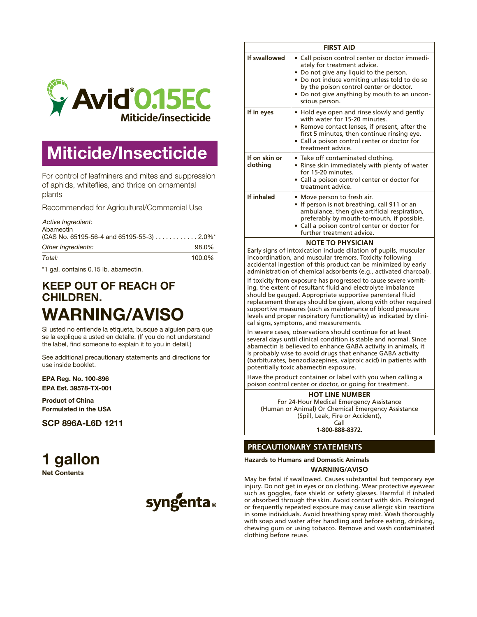

# **Miticide/Insecticide**

For control of leafminers and mites and suppression of aphids, whiteflies, and thrips on ornamental plants

Recommended for Agricultural/Commercial Use

*Active Ingredient:*

| Abamectin                                   |        |  |
|---------------------------------------------|--------|--|
| $(CAS No. 65195-56-4 and 65195-55-3)$ 2.0%* |        |  |
| Other Ingredients:                          | 98.0%  |  |
| Total:                                      | 100.0% |  |

\*1 gal. contains 0.15 lb. abamectin.

# KEEP OUT OF REACH OF CHILDREN. WARNING/AVISO

Si usted no entiende la etiqueta, busque a alguien para que se la explique a usted en detalle. (If you do not understand the label, find someone to explain it to you in detail.)

See additional precautionary statements and directions for use inside booklet.

EPA Reg. No. 100-896 EPA Est. 39578-TX-001

Product of China Formulated in the USA

SCP 896A-L6D 1211

# **1 gallon**

**Net Contents**



| <b>FIRST AID</b>          |                                                                                                                                                                                                                                                                                      |  |
|---------------------------|--------------------------------------------------------------------------------------------------------------------------------------------------------------------------------------------------------------------------------------------------------------------------------------|--|
| If swallowed              | Call poison control center or doctor immedi-<br>ately for treatment advice.<br>• Do not give any liquid to the person.<br>• Do not induce vomiting unless told to do so<br>by the poison control center or doctor.<br>• Do not give anything by mouth to an uncon-<br>scious person. |  |
| If in eyes                | • Hold eye open and rinse slowly and gently<br>with water for 15-20 minutes.<br>• Remove contact lenses, if present, after the<br>first 5 minutes, then continue rinsing eye.<br>· Call a poison control center or doctor for<br>treatment advice.                                   |  |
| If on skin or<br>clothing | • Take off contaminated clothing.<br>• Rinse skin immediately with plenty of water<br>for 15-20 minutes.<br>Call a poison control center or doctor for<br>treatment advice.                                                                                                          |  |
| If inhaled                | • Move person to fresh air.<br>• If person is not breathing, call 911 or an<br>ambulance, then give artificial respiration,<br>preferably by mouth-to-mouth, if possible.<br>• Call a poison control center or doctor for<br>further treatment advice.                               |  |
| <b>NOTE TO PHYSICIAN</b>  |                                                                                                                                                                                                                                                                                      |  |

Early signs of intoxication include dilation of pupils, muscular incoordination, and muscular tremors. Toxicity following accidental ingestion of this product can be minimized by early administration of chemical adsorbents (e.g., activated charcoal).

If toxicity from exposure has progressed to cause severe vomiting, the extent of resultant fluid and electrolyte imbalance should be gauged. Appropriate supportive parenteral fluid replacement therapy should be given, along with other required supportive measures (such as maintenance of blood pressure levels and proper respiratory functionality) as indicated by clinical signs, symptoms, and measurements.

In severe cases, observations should continue for at least several days until clinical condition is stable and normal. Since abamectin is believed to enhance GABA activity in animals, it is probably wise to avoid drugs that enhance GABA activity (barbiturates, benzodiazepines, valproic acid) in patients with potentially toxic abamectin exposure.

Have the product container or label with you when calling a poison control center or doctor, or going for treatment.

**HOT LINE NUMBER** For 24-Hour Medical Emergency Assistance (Human or Animal) Or Chemical Emergency Assistance (Spill, Leak, Fire or Accident), Call

**1-800-888-8372.**

## **PRECAUTIONARY STATEMENTS**

**Hazards to Humans and Domestic Animals**

**WARNING/AVISO**

May be fatal if swallowed. Causes substantial but temporary eye injury. Do not get in eyes or on clothing. Wear protective eyewear such as goggles, face shield or safety glasses. Harmful if inhaled or absorbed through the skin. Avoid contact with skin. Prolonged or frequently repeated exposure may cause allergic skin reactions in some individuals. Avoid breathing spray mist. Wash thoroughly with soap and water after handling and before eating, drinking, chewing gum or using tobacco. Remove and wash contaminated clothing before reuse.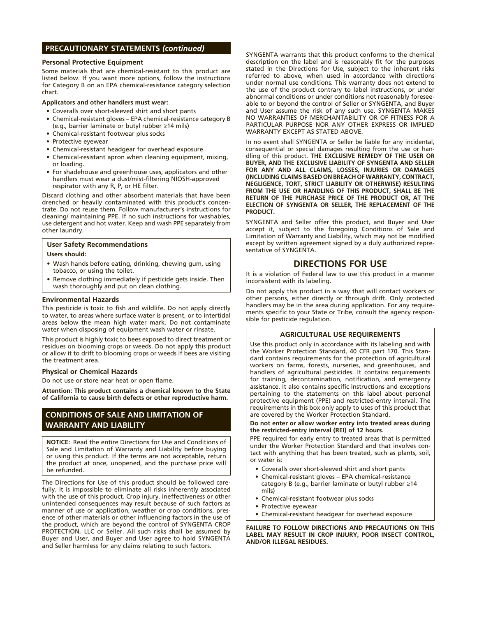### **PRECAUTIONARY STATEMENTS** *(continued)*

#### **Personal Protective Equipment**

Some materials that are chemical-resistant to this product are listed below. If you want more options, follow the instructions for Category B on an EPA chemical-resistance category selection chart.

#### **Applicators and other handlers must wear:**

- Coveralls over short-sleeved shirt and short pants
- Chemical-resistant gloves EPA chemical-resistance category B (e.g., barrier laminate or butyl rubber ≥14 mils)
- Chemical-resistant footwear plus socks
- Protective eyewear
- • Chemical-resistant headgear for overhead exposure.
- Chemical-resistant apron when cleaning equipment, mixing, or loading.
- For shadehouse and greenhouse uses, applicators and other handlers must wear a dust/mist-filtering NIOSH-approved respirator with any R, P, or HE filter.

Discard clothing and other absorbent materials that have been drenched or heavily contaminated with this product's concentrate. Do not reuse them. Follow manufacturer's instructions for cleaning/ maintaining PPE. If no such instructions for washables, use detergent and hot water. Keep and wash PPE separately from other laundry.

# **User Safety Recommendations**

- **Users should:**
- Wash hands before eating, drinking, chewing gum, using tobacco, or using the toilet.
- Remove clothing immediately if pesticide gets inside. Then wash thoroughly and put on clean clothing.

#### **Environmental Hazards**

This pesticide is toxic to fish and wildlife. Do not apply directly to water, to areas where surface water is present, or to intertidal areas below the mean high water mark. Do not contaminate water when disposing of equipment wash water or rinsate.

This product is highly toxic to bees exposed to direct treatment or residues on blooming crops or weeds. Do not apply this product or allow it to drift to blooming crops or weeds if bees are visiting the treatment area.

#### **Physical or Chemical Hazards**

Do not use or store near heat or open flame.

**Attention: This product contains a chemical known to the State of California to cause birth defects or other reproductive harm.**

## **CONDITIONS OF SALE AND LIMITATION OF WARRANTY AND LIABILITY**

**NOTICE:** Read the entire Directions for Use and Conditions of Sale and Limitation of Warranty and Liability before buying or using this product. If the terms are not acceptable, return the product at once, unopened, and the purchase price will be refunded.

The Directions for Use of this product should be followed carefully. It is impossible to eliminate all risks inherently associated with the use of this product. Crop injury, ineffectiveness or other unintended consequences may result because of such factors as manner of use or application, weather or crop conditions, presence of other materials or other influencing factors in the use of the product, which are beyond the control of SYNGENTA CROP PROTECTION, LLC or Seller. All such risks shall be assumed by Buyer and User, and Buyer and User agree to hold SYNGENTA and Seller harmless for any claims relating to such factors.

SYNGENTA warrants that this product conforms to the chemical description on the label and is reasonably fit for the purposes stated in the Directions for Use, subject to the inherent risks referred to above, when used in accordance with directions under normal use conditions. This warranty does not extend to the use of the product contrary to label instructions, or under abnormal conditions or under conditions not reasonably foreseeable to or beyond the control of Seller or SYNGENTA, and Buyer and User assume the risk of any such use. SYNGENTA MAKES NO WARRANTIES OF MERCHANTABILITY OR OF FITNESS FOR A PARTICULAR PURPOSE NOR ANY OTHER EXPRESS OR IMPLIED WARRANTY EXCEPT AS STATED ABOVE.

In no event shall SYNGENTA or Seller be liable for any incidental, consequential or special damages resulting from the use or handling of this product. **THE EXCLUSIVE REMEDY OF THE USER OR BUYER, AND THE EXCLUSIVE LIABILITY OF SYNGENTA AND SELLER FOR ANY AND ALL CLAIMS, LOSSES, INJURIES OR DAMAGES (INCLUDING CLAIMS BASED ON BREACH OF WARRANTY, CONTRACT, NEGLIGENCE, TORT, STRICT LIABILITY OR OTHERWISE) RESULTING FROM THE USE OR HANDLING OF THIS PRODUCT, SHALL BE THE RETURN OF THE PURCHASE PRICE OF THE PRODUCT OR, AT THE ELECTION OF SYNGENTA OR SELLER, THE REPLACEMENT OF THE PRODUCT.**

SYNGENTA and Seller offer this product, and Buyer and User accept it, subject to the foregoing Conditions of Sale and Limitation of Warranty and Liability, which may not be modified except by written agreement signed by a duly authorized representative of SYNGENTA.

## **DIRECTIONS FOR USE**

It is a violation of Federal law to use this product in a manner inconsistent with its labeling.

Do not apply this product in a way that will contact workers or other persons, either directly or through drift. Only protected handlers may be in the area during application. For any requirements specific to your State or Tribe, consult the agency responsible for pesticide regulation.

#### **AGRICULTURAL USE REQUIREMENTS**

Use this product only in accordance with its labeling and with the Worker Protection Standard, 40 CFR part 170. This Standard contains requirements for the protection of agricultural workers on farms, forests, nurseries, and greenhouses, and handlers of agricultural pesticides. It contains requirements for training, decontamination, notification, and emergency assistance. It also contains specific instructions and exceptions pertaining to the statements on this label about personal protective equipment (PPE) and restricted-entry interval. The requirements in this box only apply to uses of this product that are covered by the Worker Protection Standard.

#### **Do not enter or allow worker entry into treated areas during the restricted-entry interval (REI) of 12 hours.**

PPE required for early entry to treated areas that is permitted under the Worker Protection Standard and that involves contact with anything that has been treated, such as plants, soil, or water is:

- • Coveralls over short-sleeved shirt and short pants
- Chemical-resistant gloves EPA chemical-resistance category B (e.g., barrier laminate or butyl rubber ≥14 mils)
- Chemical-resistant footwear plus socks
- • Protective eyewear
- Chemical-resistant headgear for overhead exposure

**FAILURE TO FOLLOW DIRECTIONS AND PRECAUTIONS ON THIS LABEL MAY RESULT IN CROP INJURY, POOR INSECT CONTROL, AND/OR ILLEGAL RESIDUES.**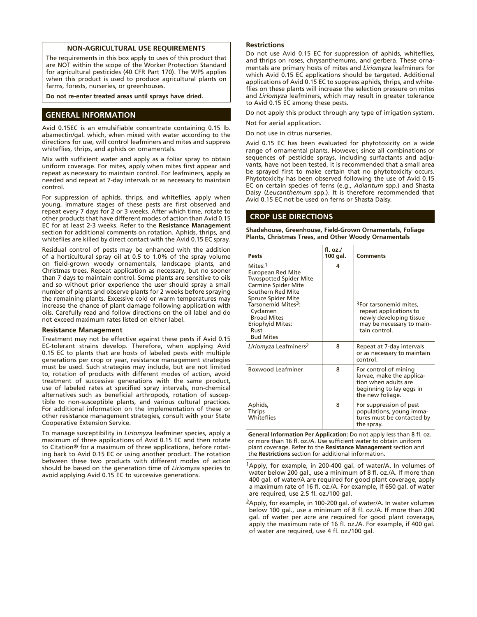#### **NON-AGRICULTURAL USE REQUIREMENTS**

The requirements in this box apply to uses of this product that are NOT within the scope of the Worker Protection Standard for agricultural pesticides (40 CFR Part 170). The WPS applies when this product is used to produce agricultural plants on farms, forests, nurseries, or greenhouses.

**Do not re-enter treated areas until sprays have dried.**

#### **GENERAL INFORMATION**

Avid 0.15EC is an emulsifiable concentrate containing 0.15 lb. abamectin/gal. which, when mixed with water according to the directions for use, will control leafminers and mites and suppress whiteflies, thrips, and aphids on ornamentals.

Mix with sufficient water and apply as a foliar spray to obtain uniform coverage. For mites, apply when mites first appear and repeat as necessary to maintain control. For leafminers, apply as needed and repeat at 7-day intervals or as necessary to maintain control.

For suppression of aphids, thrips, and whiteflies, apply when young, immature stages of these pests are first observed and repeat every 7 days for 2 or 3 weeks. After which time, rotate to other products that have different modes of action than Avid 0.15 EC for at least 2-3 weeks. Refer to the **Resistance Management** section for additional comments on rotation. Aphids, thrips, and whiteflies are killed by direct contact with the Avid 0.15 EC spray.

Residual control of pests may be enhanced with the addition of a horticultural spray oil at 0.5 to 1.0% of the spray volume on field-grown woody ornamentals, landscape plants, and Christmas trees. Repeat application as necessary, but no sooner than 7 days to maintain control. Some plants are sensitive to oils and so without prior experience the user should spray a small number of plants and observe plants for 2 weeks before spraying the remaining plants. Excessive cold or warm temperatures may increase the chance of plant damage following application with oils. Carefully read and follow directions on the oil label and do not exceed maximum rates listed on either label.

#### **Resistance Management**

Treatment may not be effective against these pests if Avid 0.15 EC-tolerant strains develop. Therefore, when applying Avid 0.15 EC to plants that are hosts of labeled pests with multiple generations per crop or year, resistance management strategies must be used. Such strategies may include, but are not limited to, rotation of products with different modes of action, avoid treatment of successive generations with the same product, use of labeled rates at specified spray intervals, non-chemical alternatives such as beneficial arthropods, rotation of susceptible to non-susceptible plants, and various cultural practices. For additional information on the implementation of these or other resistance management strategies, consult with your State Cooperative Extension Service.

To manage susceptibility in *Liriomyza* leafminer species, apply a maximum of three applications of Avid 0.15 EC and then rotate to Citation® for a maximum of three applications, before rotating back to Avid 0.15 EC or using another product. The rotation between these two products with different modes of action should be based on the generation time of *Liriomyza* species to avoid applying Avid 0.15 EC to successive generations.

#### **Restrictions**

Do not use Avid 0.15 EC for suppression of aphids, whiteflies, and thrips on roses, chrysanthemums, and gerbera. These ornamentals are primary hosts of mites and *Liriomyza* leafminers for which Avid 0.15 EC applications should be targeted. Additional applications of Avid 0.15 EC to suppress aphids, thrips, and whiteflies on these plants will increase the selection pressure on mites and *Liriomyza* leafminers, which may result in greater tolerance to Avid 0.15 EC among these pests.

Do not apply this product through any type of irrigation system.

Not for aerial application.

Do not use in citrus nurseries.

Avid 0.15 EC has been evaluated for phytotoxicity on a wide range of ornamental plants. However, since all combinations or sequences of pesticide sprays, including surfactants and adjuvants, have not been tested, it is recommended that a small area be sprayed first to make certain that no phytotoxicity occurs. Phytotoxicity has been observed following the use of Avid 0.15 EC on certain species of ferns (e.g., *Adiantum* spp.) and Shasta Daisy (*Leucanthemum* spp.). It is therefore recommended that Avid 0.15 EC not be used on ferns or Shasta Daisy.

#### **CROP USE DIRECTIONS**

**Shadehouse, Greenhouse, Field-Grown Ornamentals, Foliage Plants, Christmas Trees, and Other Woody Ornamentals**

| Pests                                                                                                                                                                                                                                                                     | fl. $oz.l$<br>100 gal. | <b>Comments</b>                                                                                                                       |
|---------------------------------------------------------------------------------------------------------------------------------------------------------------------------------------------------------------------------------------------------------------------------|------------------------|---------------------------------------------------------------------------------------------------------------------------------------|
| Mites:1<br><b>European Red Mite</b><br><b>Twospotted Spider Mite</b><br><b>Carmine Spider Mite</b><br>Southern Red Mite<br>Spruce Spider Mite<br>Tarsonemid Mites <sup>3</sup> :<br>Cyclamen<br><b>Broad Mites</b><br><b>Eriophyid Mites:</b><br>Rust<br><b>Bud Mites</b> | 4                      | <sup>3</sup> For tarsonemid mites,<br>repeat applications to<br>newly developing tissue<br>may be necessary to main-<br>tain control. |
| Liriomyza Leafminers <sup>2</sup>                                                                                                                                                                                                                                         | 8                      | Repeat at 7-day intervals<br>or as necessary to maintain<br>control.                                                                  |
| <b>Boxwood Leafminer</b>                                                                                                                                                                                                                                                  | 8                      | For control of mining<br>larvae, make the applica-<br>tion when adults are<br>beginning to lay eggs in<br>the new foliage.            |
| Aphids,<br><b>Thrips</b><br><b>Whiteflies</b>                                                                                                                                                                                                                             | 8                      | For suppression of pest<br>populations, young imma-<br>tures must be contacted by<br>the spray.                                       |

**General Information Per Application:** Do not apply less than 8 fl. oz. or more than 16 fl. oz./A. Use sufficient water to obtain uniform plant coverage. Refer to the **Resistance Management** section and the **Restrictions** section for additional information.

1Apply, for example, in 200-400 gal. of water/A. In volumes of water below 200 gal., use a minimum of 8 fl. oz./A. If more than 400 gal. of water/A are required for good plant coverage, apply a maximum rate of 16 fl. oz./A. For example, if 650 gal. of water are required, use 2.5 fl. oz./100 gal.

2Apply, for example, in 100-200 gal. of water/A. In water volumes below 100 gal., use a minimum of 8 fl. oz./A. If more than 200 gal. of water per acre are required for good plant coverage, apply the maximum rate of 16 fl. oz./A. For example, if 400 gal. of water are required, use 4 fl. oz./100 gal.